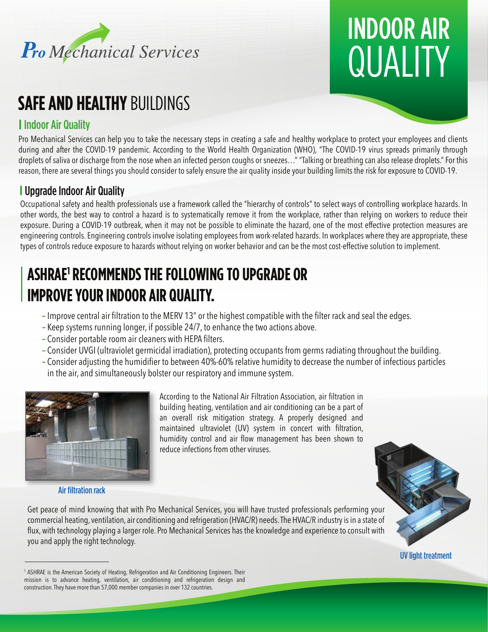

# **QUALITY** INDOOR AIR

# **SAFE AND HEALTHY BUILDINGS**

### Indoor Air Quality

Pro Mechanical Services can help you to take the necessary steps in creating a safe and healthy workplace to protect your employees and clients during and after the COVID-19 pandemic. According to the World Health Organization (WHO), "The COVID-19 virus spreads primarily through droplets of saliva or discharge from the nose when an infected person coughs or sneezes…" "Talking or breathing can also release droplets." For this reason, there are several things you should consider to safely ensure the air quality inside your building limits the risk for exposure to COVID-19.

### Upgrade Indoor Air Quality

Occupational safety and health professionals use a framework called the "hierarchy of controls" to select ways of controlling workplace hazards. In other words, the best way to control a hazard is to systematically remove it from the workplace, rather than relying on workers to reduce their exposure. During a COVID-19 outbreak, when it may not be possible to eliminate the hazard, one of the most effective protection measures are engineering controls. Engineering controls involve isolating employees from work-related hazards. In workplaces where they are appropriate, these types of controls reduce exposure to hazards without relying on worker behavior and can be the most cost-effective solution to implement.

## **ASHRAE1 RECOMMENDS THE FOLLOWING TO UPGRADE OR IMPROVE YOUR INDOOR AIR QUALITY.**

- **–** Improve central air filtration to the MERV 13" or the highest compatible with the filter rack and seal the edges.
- **–** Keep systems running longer, if possible 24/7, to enhance the two actions above.
- **–** Consider portable room air cleaners with HEPA filters.
- **–** Consider UVGI (ultraviolet germicidal irradiation), protecting occupants from germs radiating throughout the building.
- **–** Consider adjusting the humidifier to between 40%-60% relative humidity to decrease the number of infectious particles in the air, and simultaneously bolster our respiratory and immune system.



Air filtration rack

you and apply the right technology.

According to the National Air Filtration Association, air filtration in building heating, ventilation and air conditioning can be a part of an overall risk mitigation strategy. A properly designed and maintained ultraviolet (UV) system in concert with filtration, humidity control and air flow management has been shown to reduce infections from other viruses.



UV light treatment

<sup>&</sup>lt;sup>1</sup> ASHRAE is the American Society of Heating, Refrigeration and Air Conditioning Engineers. Their mission is to advance heating, ventilation, air conditioning and refrigeration design and construction. They have more than 57,000 member companies in over 132 countries.